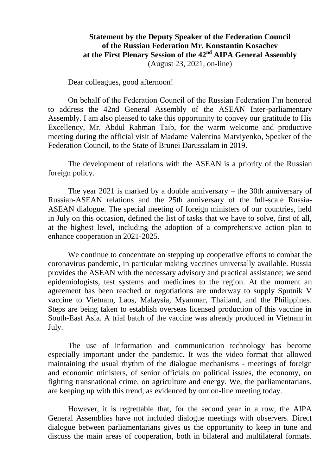## **Statement by the Deputy Speaker of the Federation Council of the Russian Federation Mr. Konstantin Kosachev at the First Plenary Session of the 42nd AIPA General Assembly** (August 23, 2021, on-line)

## Dear colleagues, good afternoon!

On behalf of the Federation Council of the Russian Federation I'm honored to address the 42nd General Assembly of the ASEAN Inter-parliamentary Assembly. I am also pleased to take this opportunity to convey our gratitude to His Excellency, Mr. Abdul Rahman Taib, for the warm welcome and productive meeting during the official visit of Madame Valentina Matviyenko, Speaker of the Federation Council, to the State of Brunei Darussalam in 2019.

The development of relations with the ASEAN is a priority of the Russian foreign policy.

The year 2021 is marked by a double anniversary – the 30th anniversary of Russian-ASEAN relations and the 25th anniversary of the full-scale Russia-ASEAN dialogue. The special meeting of foreign ministers of our countries, held in July on this occasion, defined the list of tasks that we have to solve, first of all, at the highest level, including the adoption of a comprehensive action plan to enhance cooperation in 2021-2025.

We continue to concentrate on stepping up cooperative efforts to combat the coronavirus pandemic, in particular making vaccines universally available. Russia provides the ASEAN with the necessary advisory and practical assistance; we send epidemiologists, test systems and medicines to the region. At the moment an agreement has been reached or negotiations are underway to supply Sputnik V vaccine to Vietnam, Laos, Malaysia, Myanmar, Thailand, and the Philippines. Steps are being taken to establish overseas licensed production of this vaccine in South-East Asia. A trial batch of the vaccine was already produced in Vietnam in July.

The use of information and communication technology has become especially important under the pandemic. It was the video format that allowed maintaining the usual rhythm of the dialogue mechanisms - meetings of foreign and economic ministers, of senior officials on political issues, the economy, on fighting transnational crime, on agriculture and energy. We, the parliamentarians, are keeping up with this trend, as evidenced by our on-line meeting today.

However, it is regrettable that, for the second year in a row, the AIPA General Assemblies have not included dialogue meetings with observers. Direct dialogue between parliamentarians gives us the opportunity to keep in tune and discuss the main areas of cooperation, both in bilateral and multilateral formats.